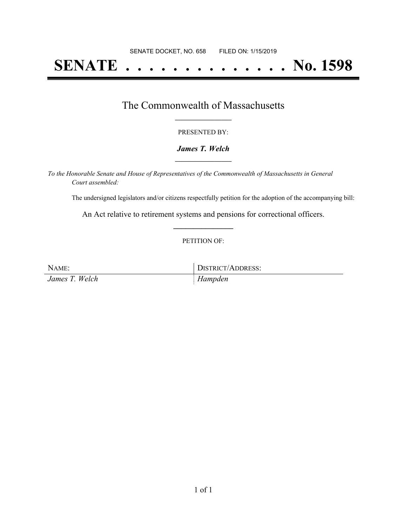# **SENATE . . . . . . . . . . . . . . No. 1598**

### The Commonwealth of Massachusetts **\_\_\_\_\_\_\_\_\_\_\_\_\_\_\_\_\_**

#### PRESENTED BY:

#### *James T. Welch* **\_\_\_\_\_\_\_\_\_\_\_\_\_\_\_\_\_**

*To the Honorable Senate and House of Representatives of the Commonwealth of Massachusetts in General Court assembled:*

The undersigned legislators and/or citizens respectfully petition for the adoption of the accompanying bill:

An Act relative to retirement systems and pensions for correctional officers. **\_\_\_\_\_\_\_\_\_\_\_\_\_\_\_**

#### PETITION OF:

| NAME:          | DISTRICT/ADDRESS: |
|----------------|-------------------|
| James T. Welch | Hampden           |